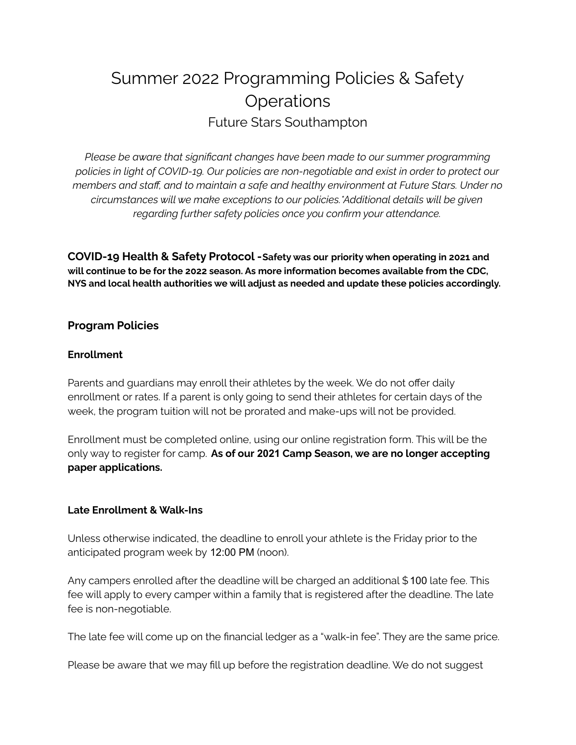# Summer 2022 Programming Policies & Safety **Operations** Future Stars Southampton

*Please be aware that significant changes have been made to our summer programming policies in light of COVID-19. Our policies are non-negotiable and exist in order to protect our members and staff, and to maintain a safe and healthy environment at Future Stars. Under no circumstances will we make exceptions to our policies.\*Additional details will be given regarding further safety policies once you confirm your attendance.*

**COVID-19 Health & Safety Protocol -Safety was our priority when operating in 2021 and will continue to be for the 2022 season. As more information becomes available from the CDC, NYS and local health authorities we will adjust as needed and update these policies accordingly.**

# **Program Policies**

#### **Enrollment**

Parents and guardians may enroll their athletes by the week. We do not offer daily enrollment or rates. If a parent is only going to send their athletes for certain days of the week, the program tuition will not be prorated and make-ups will not be provided.

Enrollment must be completed online, using our online registration form. This will be the only way to register for camp. **As of our 2021 Camp Season, we are no longer accepting paper applications.**

#### **Late Enrollment & Walk-Ins**

Unless otherwise indicated, the deadline to enroll your athlete is the Friday prior to the anticipated program week by 12:00 PM (noon).

Any campers enrolled after the deadline will be charged an additional \$100 late fee. This fee will apply to every camper within a family that is registered after the deadline. The late fee is non-negotiable.

The late fee will come up on the financial ledger as a "walk-in fee". They are the same price.

Please be aware that we may fill up before the registration deadline. We do not suggest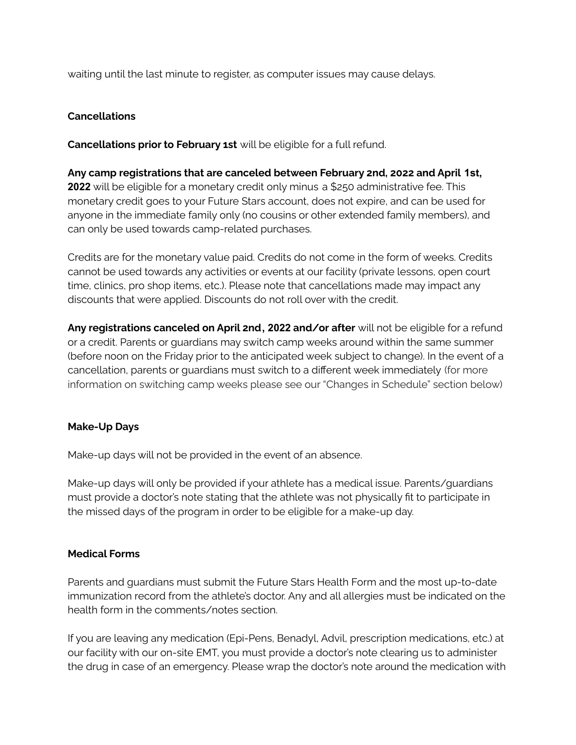waiting until the last minute to register, as computer issues may cause delays.

### **Cancellations**

**Cancellations prior to February 1st** will be eligible for a full refund.

**Any camp registrations that are canceled between February 2nd, 2022 and April 1st, 2022** will be eligible for a monetary credit only minus a \$250 administrative fee. This monetary credit goes to your Future Stars account, does not expire, and can be used for anyone in the immediate family only (no cousins or other extended family members), and can only be used towards camp-related purchases.

Credits are for the monetary value paid. Credits do not come in the form of weeks. Credits cannot be used towards any activities or events at our facility (private lessons, open court time, clinics, pro shop items, etc.). Please note that cancellations made may impact any discounts that were applied. Discounts do not roll over with the credit.

**Any registrations canceled on April 2nd, 2022 and/or after** will not be eligible for a refund or a credit. Parents or guardians may switch camp weeks around within the same summer (before noon on the Friday prior to the anticipated week subject to change). In the event of a cancellation, parents or guardians must switch to a different week immediately (for more information on switching camp weeks please see our "Changes in Schedule" section below)

# **Make-Up Days**

Make-up days will not be provided in the event of an absence.

Make-up days will only be provided if your athlete has a medical issue. Parents/guardians must provide a doctor's note stating that the athlete was not physically fit to participate in the missed days of the program in order to be eligible for a make-up day.

# **Medical Forms**

Parents and guardians must submit the Future Stars Health Form and the most up-to-date immunization record from the athlete's doctor. Any and all allergies must be indicated on the health form in the comments/notes section.

If you are leaving any medication (Epi-Pens, Benadyl, Advil, prescription medications, etc.) at our facility with our on-site EMT, you must provide a doctor's note clearing us to administer the drug in case of an emergency. Please wrap the doctor's note around the medication with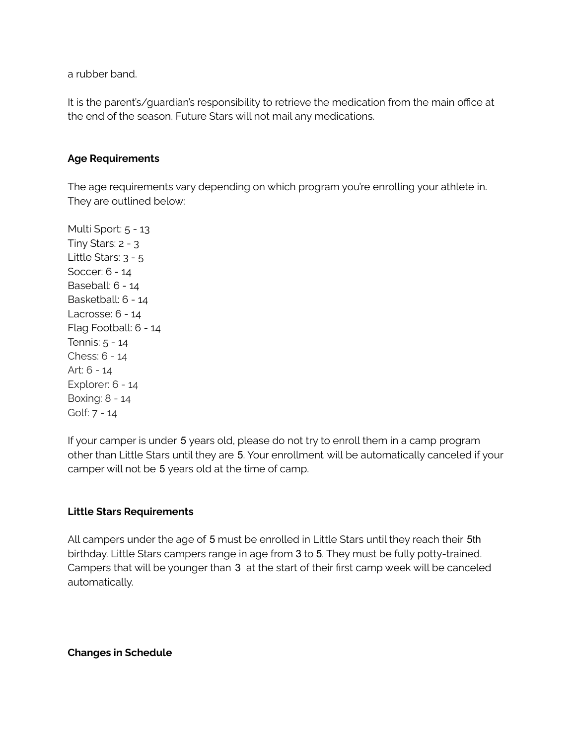a rubber band.

It is the parent's/guardian's responsibility to retrieve the medication from the main office at the end of the season. Future Stars will not mail any medications.

#### **Age Requirements**

The age requirements vary depending on which program you're enrolling your athlete in. They are outlined below:

Multi Sport: 5 - 13 Tiny Stars: 2 - 3 Little Stars: 3 - 5 Soccer: 6 - 14 Baseball: 6 - 14 Basketball: 6 - 14 Lacrosse: 6 - 14 Flag Football: 6 - 14 Tennis: 5 - 14 Chess: 6 - 14 Art: 6 - 14 Explorer: 6 - 14 Boxing: 8 - 14 Golf: 7 - 14

If your camper is under 5 years old, please do not try to enroll them in a camp program other than Little Stars until they are 5. Your enrollment will be automatically canceled if your camper will not be 5 years old at the time of camp.

#### **Little Stars Requirements**

All campers under the age of 5 must be enrolled in Little Stars until they reach their 5th birthday. Little Stars campers range in age from 3 to 5. They must be fully potty-trained. Campers that will be younger than 3 at the start of their first camp week will be canceled automatically.

#### **Changes in Schedule**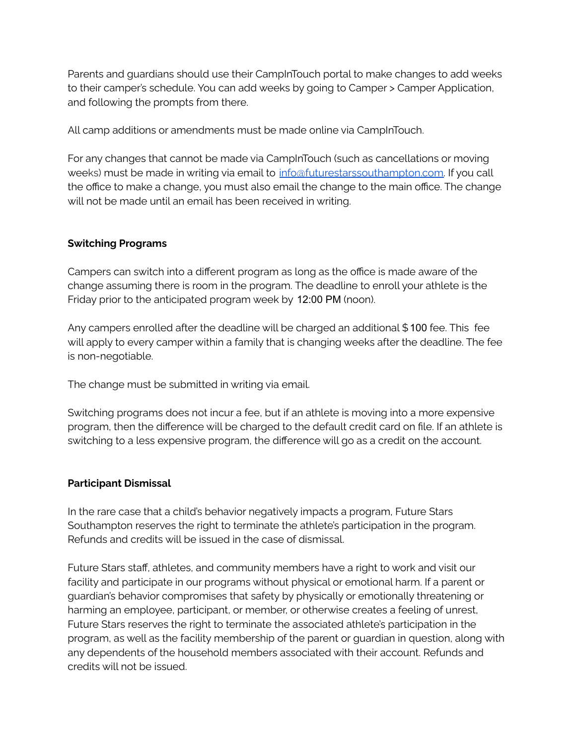Parents and guardians should use their CampInTouch portal to make changes to add weeks to their camper's schedule. You can add weeks by going to Camper > Camper Application, and following the prompts from there.

All camp additions or amendments must be made online via CampInTouch.

For any changes that cannot be made via CampInTouch (such as cancellations or moving weeks) must be made in writing via email to [info@futurestarssouthampton.com.](mailto:info@futurestarssouthampton.com) If you call the office to make a change, you must also email the change to the main office. The change will not be made until an email has been received in writing.

# **Switching Programs**

Campers can switch into a different program as long as the office is made aware of the change assuming there is room in the program. The deadline to enroll your athlete is the Friday prior to the anticipated program week by 12:00 PM (noon).

Any campers enrolled after the deadline will be charged an additional \$100 fee. This fee will apply to every camper within a family that is changing weeks after the deadline. The fee is non-negotiable.

The change must be submitted in writing via email.

Switching programs does not incur a fee, but if an athlete is moving into a more expensive program, then the difference will be charged to the default credit card on file. If an athlete is switching to a less expensive program, the difference will go as a credit on the account.

# **Participant Dismissal**

In the rare case that a child's behavior negatively impacts a program, Future Stars Southampton reserves the right to terminate the athlete's participation in the program. Refunds and credits will be issued in the case of dismissal.

Future Stars staff, athletes, and community members have a right to work and visit our facility and participate in our programs without physical or emotional harm. If a parent or guardian's behavior compromises that safety by physically or emotionally threatening or harming an employee, participant, or member, or otherwise creates a feeling of unrest, Future Stars reserves the right to terminate the associated athlete's participation in the program, as well as the facility membership of the parent or guardian in question, along with any dependents of the household members associated with their account. Refunds and credits will not be issued.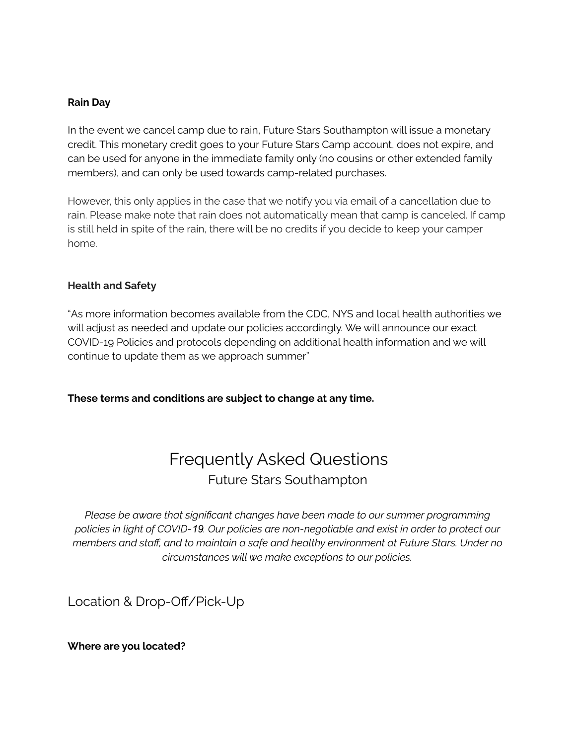#### **Rain Day**

In the event we cancel camp due to rain, Future Stars Southampton will issue a monetary credit. This monetary credit goes to your Future Stars Camp account, does not expire, and can be used for anyone in the immediate family only (no cousins or other extended family members), and can only be used towards camp-related purchases.

However, this only applies in the case that we notify you via email of a cancellation due to rain. Please make note that rain does not automatically mean that camp is canceled. If camp is still held in spite of the rain, there will be no credits if you decide to keep your camper home.

#### **Health and Safety**

"As more information becomes available from the CDC, NYS and local health authorities we will adjust as needed and update our policies accordingly. We will announce our exact COVID-19 Policies and protocols depending on additional health information and we will continue to update them as we approach summer"

**These terms and conditions are subject to change at any time.**

# Frequently Asked Questions Future Stars Southampton

*Please be aware that significant changes have been made to our summer programming policies in light of COVID-19. Our policies are non-negotiable and exist in order to protect our members and staff, and to maintain a safe and healthy environment at Future Stars. Under no circumstances will we make exceptions to our policies.*

Location & Drop-Off/Pick-Up

**Where are you located?**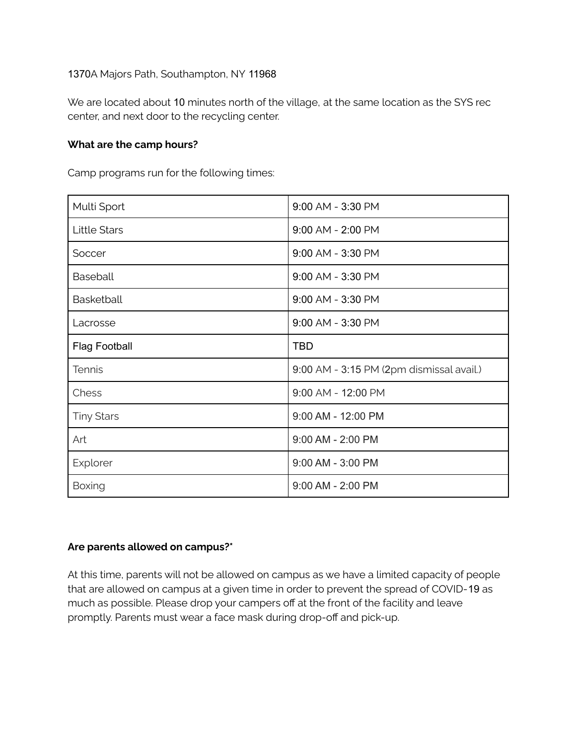#### 1370A Majors Path, Southampton, NY 11968

We are located about 10 minutes north of the village, at the same location as the SYS rec center, and next door to the recycling center.

#### **What are the camp hours?**

Camp programs run for the following times:

| Multi Sport          | 9:00 AM - 3:30 PM                        |
|----------------------|------------------------------------------|
| <b>Little Stars</b>  | $9:00$ AM - 2:00 PM                      |
| Soccer               | 9:00 AM - 3:30 PM                        |
| Baseball             | 9:00 AM - 3:30 PM                        |
| <b>Basketball</b>    | 9:00 AM - 3:30 PM                        |
| Lacrosse             | 9:00 AM - 3:30 PM                        |
| <b>Flag Football</b> | <b>TBD</b>                               |
| Tennis               | 9:00 AM - 3:15 PM (2pm dismissal avail.) |
| Chess                | 9:00 AM - 12:00 PM                       |
| <b>Tiny Stars</b>    | 9:00 AM - 12:00 PM                       |
| Art                  | 9:00 AM - 2:00 PM                        |
| Explorer             | 9:00 AM - 3:00 PM                        |
| <b>Boxing</b>        | 9:00 AM - 2:00 PM                        |

#### **Are parents allowed on campus?\***

At this time, parents will not be allowed on campus as we have a limited capacity of people that are allowed on campus at a given time in order to prevent the spread of COVID-19 as much as possible. Please drop your campers off at the front of the facility and leave promptly. Parents must wear a face mask during drop-off and pick-up.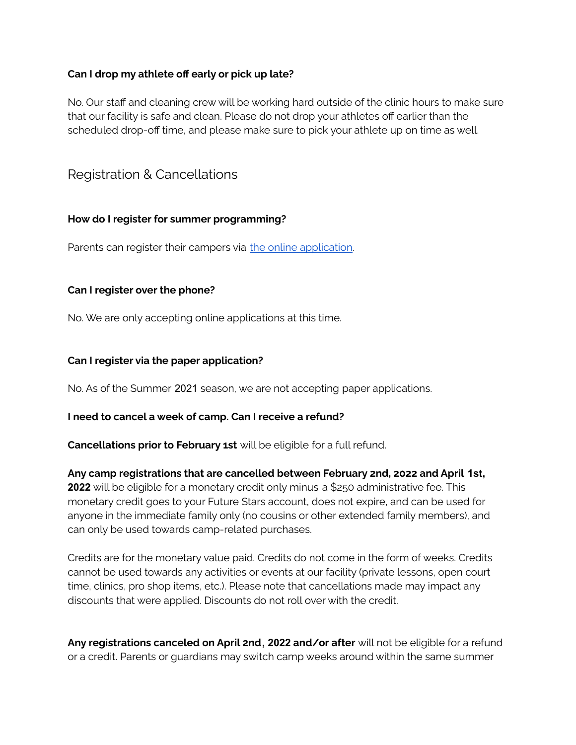#### **Can I drop my athlete off early or pick up late?**

No. Our staff and cleaning crew will be working hard outside of the clinic hours to make sure that our facility is safe and clean. Please do not drop your athletes off earlier than the scheduled drop-off time, and please make sure to pick your athlete up on time as well.

# Registration & Cancellations

#### **How do I register for summer programming?**

Parents can register their campers via the online [application.](https://futurestars.campintouch.com/ui/forms/application/camper/App?_ga=2.173624741.768204207.1592408204-202463137.1579960040)

#### **Can I register over the phone?**

No. We are only accepting online applications at this time.

#### **Can I register via the paper application?**

No. As of the Summer 2021 season, we are not accepting paper applications.

#### **I need to cancel a week of camp. Can I receive a refund?**

**Cancellations prior to February 1st** will be eligible for a full refund.

**Any camp registrations that are cancelled between February 2nd, 2022 and April 1st, 2022** will be eligible for a monetary credit only minus a \$250 administrative fee. This monetary credit goes to your Future Stars account, does not expire, and can be used for anyone in the immediate family only (no cousins or other extended family members), and can only be used towards camp-related purchases.

Credits are for the monetary value paid. Credits do not come in the form of weeks. Credits cannot be used towards any activities or events at our facility (private lessons, open court time, clinics, pro shop items, etc.). Please note that cancellations made may impact any discounts that were applied. Discounts do not roll over with the credit.

**Any registrations canceled on April 2nd, 2022 and/or after** will not be eligible for a refund or a credit. Parents or guardians may switch camp weeks around within the same summer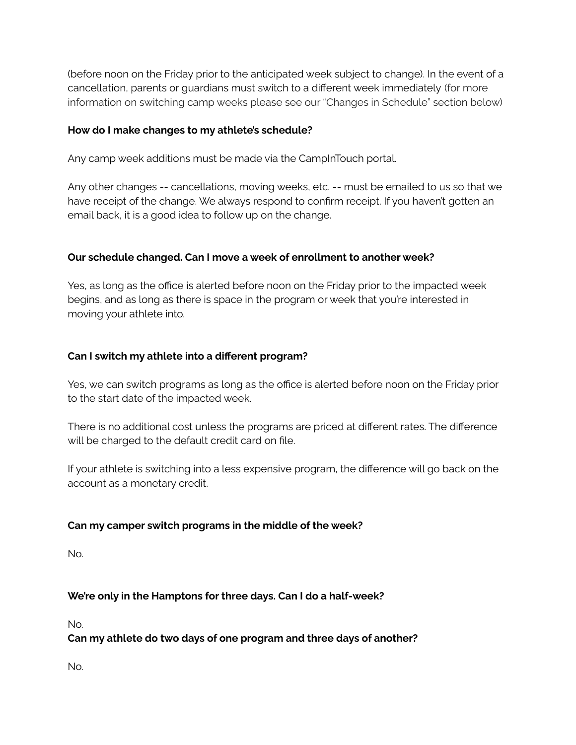(before noon on the Friday prior to the anticipated week subject to change). In the event of a cancellation, parents or guardians must switch to a different week immediately (for more information on switching camp weeks please see our "Changes in Schedule" section below)

#### **How do I make changes to my athlete's schedule?**

Any camp week additions must be made via the CampInTouch portal.

Any other changes -- cancellations, moving weeks, etc. -- must be emailed to us so that we have receipt of the change. We always respond to confirm receipt. If you haven't gotten an email back, it is a good idea to follow up on the change.

#### **Our schedule changed. Can I move a week of enrollment to another week?**

Yes, as long as the office is alerted before noon on the Friday prior to the impacted week begins, and as long as there is space in the program or week that you're interested in moving your athlete into.

#### **Can I switch my athlete into a different program?**

Yes, we can switch programs as long as the office is alerted before noon on the Friday prior to the start date of the impacted week.

There is no additional cost unless the programs are priced at different rates. The difference will be charged to the default credit card on file.

If your athlete is switching into a less expensive program, the difference will go back on the account as a monetary credit.

#### **Can my camper switch programs in the middle of the week?**

No.

#### **We're only in the Hamptons for three days. Can I do a half-week?**

No.

#### **Can my athlete do two days of one program and three days of another?**

No.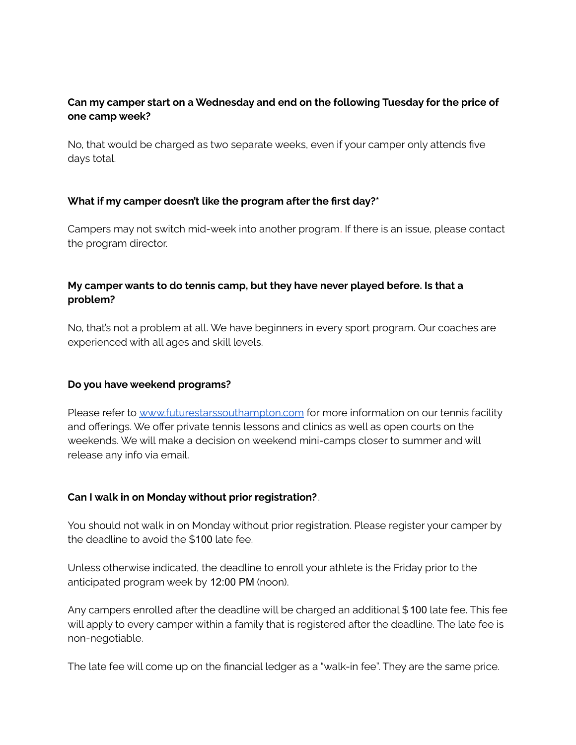# **Can my camper start on a Wednesday and end on the following Tuesday for the price of one camp week?**

No, that would be charged as two separate weeks, even if your camper only attends five days total.

#### **What if my camper doesn't like the program after the first day?\***

Campers may not switch mid-week into another program. If there is an issue, please contact the program director.

# **My camper wants to do tennis camp, but they have never played before. Is that a problem?**

No, that's not a problem at all. We have beginners in every sport program. Our coaches are experienced with all ages and skill levels.

#### **Do you have weekend programs?**

Please refer to [www.futurestarssouthampton.com](http://www.futurestarssouthampton.com) for more information on our tennis facility and offerings. We offer private tennis lessons and clinics as well as open courts on the weekends. We will make a decision on weekend mini-camps closer to summer and will release any info via email.

#### **Can I walk in on Monday without prior registration?**.

You should not walk in on Monday without prior registration. Please register your camper by the deadline to avoid the \$100 late fee.

Unless otherwise indicated, the deadline to enroll your athlete is the Friday prior to the anticipated program week by 12:00 PM (noon).

Any campers enrolled after the deadline will be charged an additional \$100 late fee. This fee will apply to every camper within a family that is registered after the deadline. The late fee is non-negotiable.

The late fee will come up on the financial ledger as a "walk-in fee". They are the same price.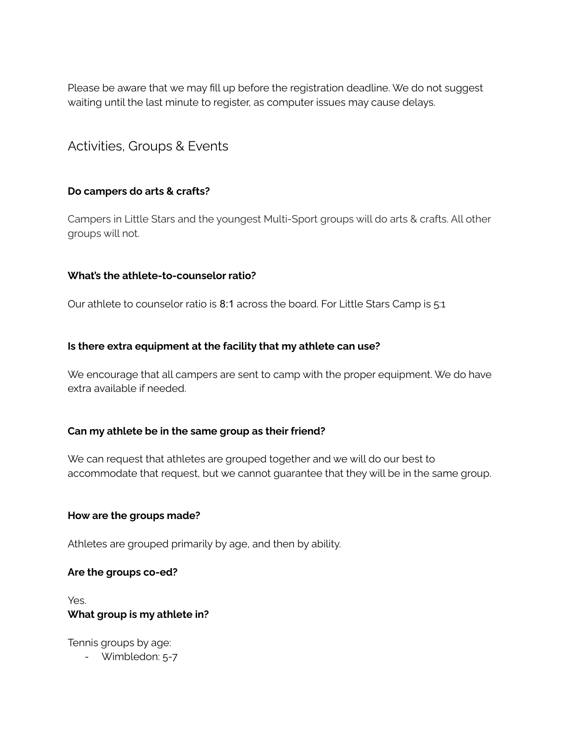Please be aware that we may fill up before the registration deadline. We do not suggest waiting until the last minute to register, as computer issues may cause delays.

# Activities, Groups & Events

#### **Do campers do arts & crafts?**

Campers in Little Stars and the youngest Multi-Sport groups will do arts & crafts. All other groups will not.

#### **What's the athlete-to-counselor ratio?**

Our athlete to counselor ratio is 8:1 across the board. For Little Stars Camp is 5:1

#### **Is there extra equipment at the facility that my athlete can use?**

We encourage that all campers are sent to camp with the proper equipment. We do have extra available if needed.

#### **Can my athlete be in the same group as their friend?**

We can request that athletes are grouped together and we will do our best to accommodate that request, but we cannot guarantee that they will be in the same group.

#### **How are the groups made?**

Athletes are grouped primarily by age, and then by ability.

#### **Are the groups co-ed?**

Yes. **What group is my athlete in?**

Tennis groups by age:

- Wimbledon: 5-7